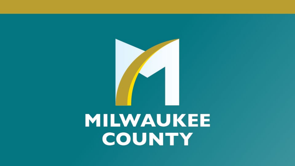

# MILWAUKEE COUNTY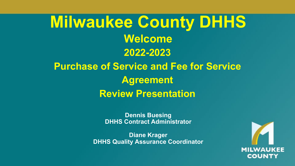## **2022-2023 Purchase of Service and Fee for Service Agreement Review Presentation Milwaukee County DHHS Welcome**

**Dennis Buesing DHHS Contract Administrator**

**Diane Krager DHHS Quality Assurance Coordinator**

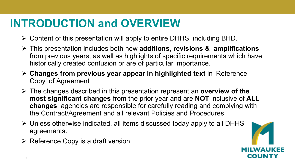## **INTRODUCTION and OVERVIEW**

- $\triangleright$  Content of this presentation will apply to entire DHHS, including BHD.
- This presentation includes both new **additions, revisions & amplifications** from previous years, as well as highlights of specific requirements which have historically created confusion or are of particular importance.
- **Changes from previous year appear in highlighted text** in 'Reference Copy' of Agreement
- The changes described in this presentation represent an **overview of the most significant changes** from the prior year and are **NOT** inclusive of **ALL changes**; agencies are responsible for carefully reading and complying with the Contract/Agreement and all relevant Policies and Procedures
- $\triangleright$  Unless otherwise indicated, all items discussed today apply to all DHHS agreements.
- $\triangleright$  Reference Copy is a draft version.

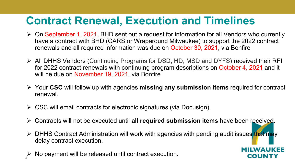## **Contract Renewal, Execution and Timelines**

- $\triangleright$  On September 1, 2021, BHD sent out a request for information for all Vendors who currently have a contract with BHD (CARS or Wraparound Milwaukee) to support the 2022 contract renewals and all required information was due on October 30, 2021, via Bonfire
- All DHHS Vendors (Continuing Programs for DSD, HD, MSD and DYFS) received their RFI for 2022 contract renewals with continuing program descriptions on October 4, 2021 and it will be due on November 19, 2021, via Bonfire
- Your **CSC** will follow up with agencies **missing any submission items** required for contract renewal.
- $\triangleright$  CSC will email contracts for electronic signatures (via Docusign).
- Contracts will not be executed until **all required submission items** have been received.
- $\triangleright$  DHHS Contract Administration will work with agencies with pending audit issues that may delay contract execution.

ILWAUKFF

COUNTY

No payment will be released until contract execution. 4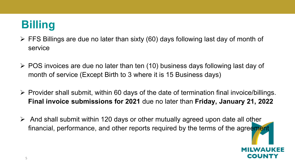## **Billing**

- $\triangleright$  FFS Billings are due no later than sixty (60) days following last day of month of service
- $\triangleright$  POS invoices are due no later than ten (10) business days following last day of month of service (Except Birth to 3 where it is 15 Business days)
- $\triangleright$  Provider shall submit, within 60 days of the date of termination final invoice/billings. **Final invoice submissions for 2021** due no later than **Friday, January 21, 2022**
- $\triangleright$  And shall submit within 120 days or other mutually agreed upon date all other financial, performance, and other reports required by the terms of the agreement

COUN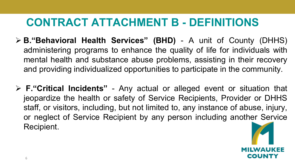## **CONTRACT ATTACHMENT B - DEFINITIONS**

- **B."Behavioral Health Services" (BHD)** A unit of County (DHHS) administering programs to enhance the quality of life for individuals with mental health and substance abuse problems, assisting in their recovery and providing individualized opportunities to participate in the community.
- **F."Critical Incidents"** Any actual or alleged event or situation that jeopardize the health or safety of Service Recipients, Provider or DHHS staff, or visitors, including, but not limited to, any instance of abuse, injury, or neglect of Service Recipient by any person including another Service Recipient.

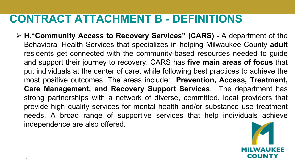## **CONTRACT ATTACHMENT B - DEFINITIONS**

 **H."Community Access to Recovery Services" (CARS)** - A department of the Behavioral Health Services that specializes in helping Milwaukee County **adult** residents get connected with the community-based resources needed to guide and support their journey to recovery. CARS has **five main areas of focus** that put individuals at the center of care, while following best practices to achieve the most positive outcomes. The areas include: **Prevention, Access, Treatment, Care Management, and Recovery Support Services**. The department has strong partnerships with a network of diverse, committed, local providers that provide high quality services for mental health and/or substance use treatment needs. A broad range of supportive services that help individuals achieve independence are also offered.

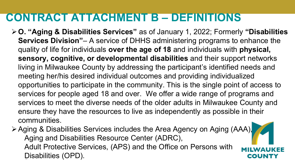## **CONTRACT ATTACHMENT B – DEFINITIONS**

- **O. "Aging & Disabilities Services"** as of January 1, 2022; Formerly **"Disabilities Services Division"**– A service of DHHS administering programs to enhance the quality of life for individuals **over the age of 18** and individuals with **physical, sensory, cognitive, or developmental disabilities** and their support networks living in Milwaukee County by addressing the participant's identified needs and meeting her/his desired individual outcomes and providing individualized opportunities to participate in the community. This is the single point of access to services for people aged 18 and over. We offer a wide range of programs and services to meet the diverse needs of the older adults in Milwaukee County and ensure they have the resources to live as independently as possible in their communities.
- Aging & Disabilities Services includes the Area Agency on Aging (AAA), Aging and Disabilities Resource Center (ADRC), Adult Protective Services, (APS) and the Office on Persons with Disabilities (OPD). 8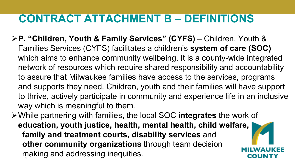## **CONTRACT ATTACHMENT B – DEFINITIONS**

- **P. "Children, Youth & Family Services" (CYFS)** Children, Youth & Families Services (CYFS) facilitates a children's **system of care (SOC)**  which aims to enhance community wellbeing. It is a county-wide integrated network of resources which require shared responsibility and accountability to assure that Milwaukee families have access to the services, programs and supports they need. Children, youth and their families will have support to thrive, actively participate in community and experience life in an inclusive way which is meaningful to them.
- While partnering with families, the local SOC **integrates** the work of **education, youth justice, health, mental health, child welfare, family and treatment courts, disability services** and **other community organizations** through team decision making and addressing inequities.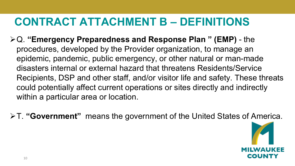## **CONTRACT ATTACHMENT B – DEFINITIONS**

- Q. **"Emergency Preparedness and Response Plan " (EMP)**  the procedures, developed by the Provider organization, to manage an epidemic, pandemic, public emergency, or other natural or man-made disasters internal or external hazard that threatens Residents/Service Recipients, DSP and other staff, and/or visitor life and safety. These threats could potentially affect current operations or sites directly and indirectly within a particular area or location.
- T. **"Government"** means the government of the United States of America.

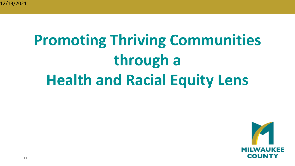# **Promoting Thriving Communities through a Health and Racial Equity Lens**

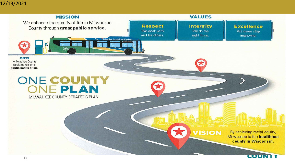#### 12/13/2021

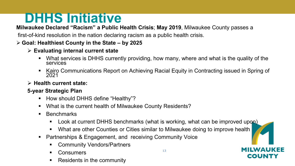## **DHHS Initiative**

**Milwaukee Declared "Racism" a Public Health Crisis**; **May 2019**, Milwaukee County passes a

first-of-kind resolution in the nation declaring racism as a public health crisis.

#### **Goal: Healthiest County in the State – by 2025**

#### **Evaluating internal current state**

- What services is DHHS currently providing, how many, where and what is the quality of the services
- Kairo Communications Report on Achieving Racial Equity in Contracting issued in Spring of 2021

#### **Health current state:**

#### **5-year Strategic Plan**

- How should DHHS define "Healthy"?
- What is the current health of Milwaukee County Residents?
- **Benchmarks** 
	- Look at current DHHS benchmarks (what is working, what can be improved upon)
	- What are other Counties or Cities similar to Milwaukee doing to improve health
- Partnerships & Engagement, and receiving Community Voice
	- Community Vendors/Partners
	- **Consumers**
	- Residents in the community

COUN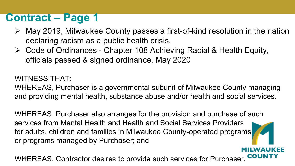## **Contract – Page 1**

- May 2019, Milwaukee County passes a first-of-kind resolution in the nation declaring racism as a public health crisis.
- Code of Ordinances Chapter 108 Achieving Racial & Health Equity, officials passed & signed ordinance, May 2020

#### WITNESS THAT:

WHEREAS, Purchaser is a governmental subunit of Milwaukee County managing and providing mental health, substance abuse and/or health and social services.

WHEREAS, Purchaser also arranges for the provision and purchase of such services from Mental Health and Health and Social Services Providers for adults, children and families in Milwaukee County-operated programs or programs managed by Purchaser; and

WHEREAS, Contractor desires to provide such services for Purchaser.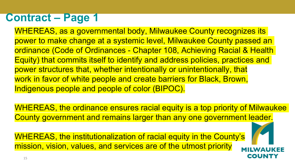## **Contract – Page 1**

WHEREAS, as a governmental body, Milwaukee County recognizes its power to make change at a systemic level, Milwaukee County passed an ordinance (Code of Ordinances - Chapter 108, Achieving Racial & Health Equity) that commits itself to identify and address policies, practices and power structures that, whether intentionally or unintentionally, that work in favor of white people and create barriers for Black, Brown, Indigenous people and people of color (BIPOC).

WHEREAS, the ordinance ensures racial equity is a top priority of Milwaukee County government and remains larger than any one government leader.

COUN

WHEREAS, the institutionalization of racial equity in the County's mission, vision, values, and services are of the utmost priority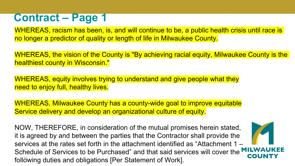## **Contract – Page 1**

WHEREAS, racism has been, is, and will continue to be, a public health crisis until race is no longer a predictor of quality or length of life in Milwaukee County.

WHEREAS, the vision of the County is "By achieving racial equity, Milwaukee County is the healthiest county in Wisconsin."

WHEREAS, equity involves trying to understand and give people what they need to enjoy full, healthy lives.

WHEREAS, Milwaukee County has a county-wide goal to improve equitable Service delivery and develop an organizational culture of equity.

NOW, THEREFORE, in consideration of the mutual promises herein stated, it is agreed by and between the parties that the Contractor shall provide the services at the rates set forth in the attachment identified as "Attachment 1 – Schedule of Services to be Purchased" and that said services will cover the **MILWAI** following duties and obligations [Per Statement of Work].

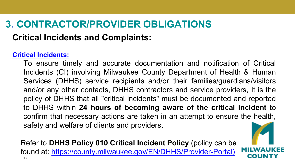## **3. CONTRACTOR/PROVIDER OBLIGATIONS**

### **Critical Incidents and Complaints:**

#### **Critical Incidents:**

To ensure timely and accurate documentation and notification of Critical Incidents (CI) involving Milwaukee County Department of Health & Human Services (DHHS) service recipients and/or their families/guardians/visitors and/or any other contacts, DHHS contractors and service providers, It is the policy of DHHS that all "critical incidents" must be documented and reported to DHHS within **24 hours of becoming aware of the critical incident** to confirm that necessary actions are taken in an attempt to ensure the health, safety and welfare of clients and providers.

Refer to **DHHS Policy 010 Critical Incident Policy** (policy can be found at: [https://county.milwaukee.gov/EN/DHHS/Provider-Portal\)](https://county.milwaukee.gov/EN/DHHS/Provider-Portal) 17

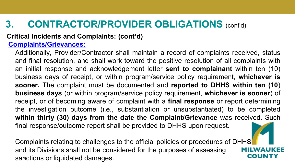#### **Critical Incidents and Complaints: (cont'd)**

#### **Complaints/Grievances:**

Additionally, Provider/Contractor shall maintain a record of complaints received, status and final resolution, and shall work toward the positive resolution of all complaints with an initial response and acknowledgement letter **sent to complainant** within ten (10) business days of receipt, or within program/service policy requirement, **whichever is sooner.** The complaint must be documented and **reported to DHHS within ten (10**) **business days** (or within program/service policy requirement, **whichever is sooner**) of receipt, or of becoming aware of complaint with a **final response** or report determining the investigation outcome (i.e., substantiation or unsubstantiated) to be completed **within thirty (30) days from the date the Complaint/Grievance** was received. Such final response/outcome report shall be provided to DHHS upon request.

Complaints relating to challenges to the official policies or procedures of DHHS and its Divisions shall not be considered for the purposes of assessing sanctions or liquidated damages.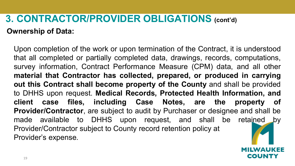## **3. CONTRACTOR/PROVIDER OBLIGATIONS (cont'd) Ownership of Data:**

Upon completion of the work or upon termination of the Contract, it is understood that all completed or partially completed data, drawings, records, computations, survey information, Contract Performance Measure (CPM) data, and all other **material that Contractor has collected, prepared, or produced in carrying out this Contract shall become property of the County** and shall be provided to DHHS upon request. **Medical Records, Protected Health Information, and client case files, including Case Notes, are the property of Provider/Contractor**, are subject to audit by Purchaser or designee and shall be made available to DHHS upon request, and shall be retained by Provider/Contractor subject to County record retention policy at Provider's expense.

coun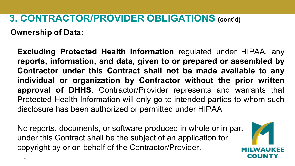**Ownership of Data:**

**Excluding Protected Health Information** regulated under HIPAA, any **reports, information, and data, given to or prepared or assembled by Contractor under this Contract shall not be made available to any individual or organization by Contractor without the prior written approval of DHHS**. Contractor/Provider represents and warrants that Protected Health Information will only go to intended parties to whom such disclosure has been authorized or permitted under HIPAA

No reports, documents, or software produced in whole or in part under this Contract shall be the subject of an application for copyright by or on behalf of the Contractor/Provider.

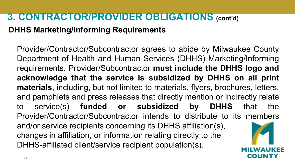#### **DHHS Marketing/Informing Requirements**

Provider/Contractor/Subcontractor agrees to abide by Milwaukee County Department of Health and Human Services (DHHS) Marketing/Informing requirements. Provider/Subcontractor **must include the DHHS logo and acknowledge that the service is subsidized by DHHS on all print materials**, including, but not limited to materials, flyers, brochures, letters, and pamphlets and press releases that directly mention or indirectly relate to service(s) **funded or subsidized by DHHS** that the Provider/Contractor/Subcontractor intends to distribute to its members and/or service recipients concerning its DHHS affiliation(s), changes in affiliation, or information relating directly to the DHHS-affiliated client/service recipient population(s).

COUN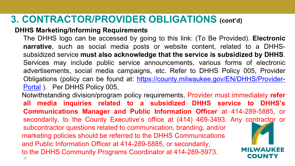#### **DHHS Marketing/Informing Requirements**

The DHHS logo can be accessed by going to this link: (To Be Provided). **Electronic narrative**, such as social media posts or website content, related to a DHHSsubsidized service **must also acknowledge that the service is subsidized by DHHS**. Services may include public service announcements, various forms of electronic advertisements, social media campaigns, etc. Refer to DHHS Policy 005, Provider Obligations (policy can be found at: [https://county.milwaukee.gov/EN/DHHS/Provider-](https://county.milwaukee.gov/EN/DHHS/Provider-Portal)Portal ). Per DHHS Policy 005, Notwithstanding division/program policy requirements, Provider must immediately **refer**

**all media inquiries related to a subsidized DHHS service to DHHS's Communications Manager and Public Information Officer** at 414-289-5885, or secondarily, to the County Executive's office at (414) 469-3493. Any contractor or subcontractor questions related to communication, branding, and/or marketing policies should be referred to the DHHS Communications and Public Information Officer at 414-289-5885, or secondarily, to the DHHS Community Programs Coordinator at 414-289-5973. COUNTY 22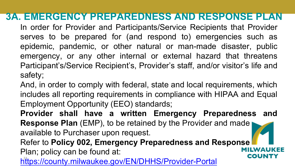### **3A. EMERGENCY PREPAREDNESS AND RESPONSE PLAN**

In order for Provider and Participants/Service Recipients that Provider serves to be prepared for (and respond to) emergencies such as epidemic, pandemic, or other natural or man-made disaster, public emergency, or any other internal or external hazard that threatens Participant's/Service Recipient's, Provider's staff, and/or visitor's life and safety;

And, in order to comply with federal, state and local requirements, which includes all reporting requirements in compliance with HIPAA and Equal Employment Opportunity (EEO) standards;

**Provider shall have a written Emergency Preparedness and Response Plan** (EMP), to be retained by the Provider and made available to Purchaser upon request.

Refer to **Policy 002, Emergency Preparedness and Response** Plan; policy can be found at: сошми <https://county.milwaukee.gov/EN/DHHS/Provider-Portal>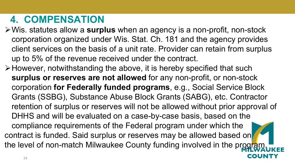## **4. COMPENSATION**

- Wis. statutes allow a **surplus** when an agency is a non-profit, non-stock corporation organized under Wis. Stat. Ch. 181 and the agency provides client services on the basis of a unit rate. Provider can retain from surplus up to 5% of the revenue received under the contract.
- However, notwithstanding the above, it is hereby specified that such **surplus or reserves are not allowed** for any non-profit, or non-stock corporation **for Federally funded programs**, e.g., Social Service Block Grants (SSBG), Substance Abuse Block Grants (SABG), etc. Contractor retention of surplus or reserves will not be allowed without prior approval of DHHS and will be evaluated on a case-by-case basis, based on the compliance requirements of the Federal program under which the contract is funded. Said surplus or reserves may be allowed based on the level of non-match Milwaukee County funding involved in the program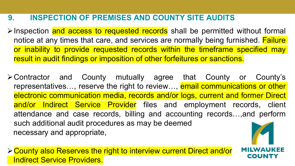#### **9. INSPECTION OF PREMISES AND COUNTY SITE AUDITS**

Inspection and access to requested records shall be permitted without formal notice at any times that care, and services are normally being furnished. **Failure** or inability to provide requested records within the timeframe specified may result in audit findings or imposition of other forfeitures or sanctions.

Contractor and County mutually agree that County or County's representatives..., reserve the right to review..., email communications or other electronic communication media, records and/or logs, current and former Direct and/or Indirect Service Provider files and employment records, client attendance and case records, billing and accounting records…,and perform such additional audit procedures as may be deemed necessary and appropriate,

County also Reserves the right to interview current Direct and/or **Indirect Service Providers.**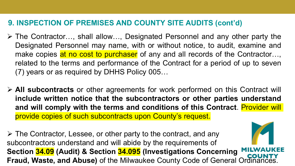#### **9. INSPECTION OF PREMISES AND COUNTY SITE AUDITS (cont'd)**

- The Contractor…, shall allow…, Designated Personnel and any other party the Designated Personnel may name, with or without notice, to audit, examine and make copies at no cost to purchaser of any and all records of the Contractor..., related to the terms and performance of the Contract for a period of up to seven (7) years or as required by DHHS Policy 005…
- **All subcontracts** or other agreements for work performed on this Contract will **include written notice that the subcontractors or other parties understand and will comply with the terms and conditions of this Contract**. Provider will provide copies of such subcontracts upon County's request.

 $\triangleright$  The Contractor, Lessee, or other party to the contract, and any subcontractors understand and will abide by the requirements of **Section 34.09 (Audit) & Section 34.095 (Investigations Concerning Fraud, Waste, and Abuse)** of the Milwaukee County Code of General Ordinances. <sup>26</sup>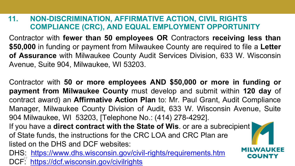#### **11. NON-DISCRIMINATION, AFFIRMATIVE ACTION, CIVIL RIGHTS COMPLIANCE (CRC), AND EQUAL EMPLOYMENT OPPORTUNITY**

Contractor with **fewer than 50 employees OR** Contractors **receiving less than \$50,000** in funding or payment from Milwaukee County are required to file a **Letter of Assurance** with Milwaukee County Audit Services Division, 633 W. Wisconsin Avenue, Suite 904, Milwaukee, WI 53203.

Contractor with **50 or more employees AND \$50,000 or more in funding or payment from Milwaukee County** must develop and submit within **120 day** of contract award) an **Affirmative Action Plan** to: Mr. Paul Grant, Audit Compliance Manager, Milwaukee County Division of Audit, 633 W. Wisconsin Avenue, Suite 904 Milwaukee, WI 53203, [Telephone No.: (414) 278-4292]. If you have a **direct contract with the State of Wis**. or are a subrecipient of State funds, the instructions for the CRC LOA and CRC Plan are listed on the DHS and DCF websites:

COUNTY

DHS: <https://www.dhs.wisconsin.gov/civil-rights/requirements.htm> DCF<sup>27</sup> <https://dcf.wisconsin.gov/civilrights>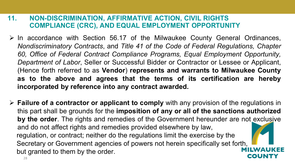#### **11. NON-DISCRIMINATION, AFFIRMATIVE ACTION, CIVIL RIGHTS COMPLIANCE (CRC), AND EQUAL EMPLOYMENT OPPORTUNITY**

- $\triangleright$  In accordance with Section 56.17 of the Milwaukee County General Ordinances, *Nondiscriminatory Contracts*, and *Title 41 of the Code of Federal Regulations, Chapter 60, Office of Federal Contract Compliance Programs, Equal Employment Opportunity, Department of Labor*, Seller or Successful Bidder or Contractor or Lessee or Applicant, (Hence forth referred to as **Vendor**) **represents and warrants to Milwaukee County as to the above and agrees that the terms of its certification are hereby incorporated by reference into any contract awarded.**
- **Failure of a contractor or applicant to comply** with any provision of the regulations in this part shall be grounds for the **imposition of any or all of the sanctions authorized by the order**. The rights and remedies of the Government hereunder are not exclusive and do not affect rights and remedies provided elsewhere by law, regulation, or contract; neither do the regulations limit the exercise by the Secretary or Government agencies of powers not herein specifically set forth, but granted to them by the order.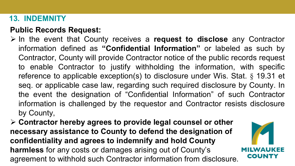#### **13. INDEMNITY**

#### **Public Records Request:**

- In the event that County receives a **request to disclose** any Contractor information defined as **"Confidential Information"** or labeled as such by Contractor, County will provide Contractor notice of the public records request to enable Contractor to justify withholding the information, with specific reference to applicable exception(s) to disclosure under Wis. Stat. § 19.31 et seq. or applicable case law, regarding such required disclosure by County. In the event the designation of "Confidential Information" of such Contractor information is challenged by the requestor and Contractor resists disclosure by County,
- **Contractor hereby agrees to provide legal counsel or other necessary assistance to County to defend the designation of confidentiality and agrees to indemnify and hold County harmless** for any costs or damages arising out of County's agreement to withhold such Contractor information from disclosure.

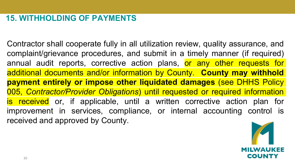#### **15. WITHHOLDING OF PAYMENTS**

Contractor shall cooperate fully in all utilization review, quality assurance, and complaint/grievance procedures, and submit in a timely manner (if required) annual audit reports, corrective action plans, or any other requests for additional documents and/or information by County. **County may withhold payment entirely or impose other liquidated damages** (see DHHS Policy 005, *Contractor/Provider Obligations*) until requested or required information is received or, if applicable, until a written corrective action plan for improvement in services, compliance, or internal accounting control is received and approved by County.

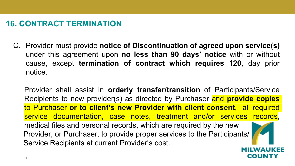#### **16. CONTRACT TERMINATION**

C. Provider must provide **notice of Discontinuation of agreed upon service(s)** under this agreement upon **no less than 90 days' notice** with or without cause, except **termination of contract which requires 120**, day prior notice.

Provider shall assist in **orderly transfer/transition** of Participants/Service Recipients to new provider(s) as directed by Purchaser and **provide copies** to Purchaser **or to client's new Provider with client consent**, all required service documentation, case notes, treatment and/or services records, medical files and personal records, which are required by the new Provider, or Purchaser, to provide proper services to the Participants/ Service Recipients at current Provider's cost.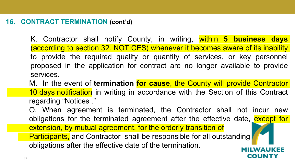#### **16. CONTRACT TERMINATION (cont'd)**

K. Contractor shall notify County, in writing, within **5 business days** (according to section 32. NOTICES) whenever it becomes aware of its inability to provide the required quality or quantity of services, or key personnel proposed in the application for contract are no longer available to provide services.

M. In the event of **termination for cause**, the County will provide Contractor 10 days notification in writing in accordance with the Section of this Contract regarding "Notices ."

O. When agreement is terminated, the Contractor shall not incur new obligations for the terminated agreement after the effective date, except for extension, by mutual agreement, for the orderly transition of **Participants, and Contractor shall be responsible for all outstanding** obligations after the effective date of the termination.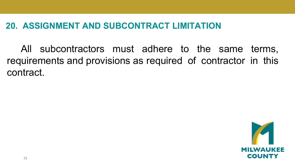#### **20. ASSIGNMENT AND SUBCONTRACT LIMITATION**

All subcontractors must adhere to the same terms, requirements and provisions as required of contractor in this contract.

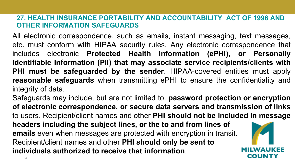#### **27. HEALTH INSURANCE PORTABILITY AND ACCOUNTABILITY ACT OF 1996 AND OTHER INFORMATION SAFEGUARDS**

All electronic correspondence, such as emails, instant messaging, text messages, etc. must conform with HIPAA security rules. Any electronic correspondence that includes electronic **Protected Health Information (ePHI), or Personally Identifiable Information (PII) that may associate service recipients/clients with PHI must be safeguarded by the sender**. HIPAA-covered entities must apply **reasonable safeguards** when transmitting ePHI to ensure the confidentiality and integrity of data.

Safeguards may include, but are not limited to, **password protection or encryption of electronic correspondence, or secure data servers and transmission of links** to users. Recipient/client names and other **PHI should not be included in message headers including the subject lines, or the to and from lines of emails** even when messages are protected with encryption in transit. Recipient/client names and other **PHI should only be sent to individuals authorized to receive that information**. соимт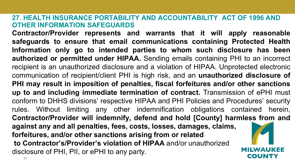#### **27. HEALTH INSURANCE PORTABILITY AND ACCOUNTABILITY ACT OF 1996 AND OTHER INFORMATION SAFEGUARDS**

**Contractor/Provider represents and warrants that it will apply reasonable safeguards to ensure that email communications containing Protected Health Information only go to intended parties to whom such disclosure has been authorized or permitted under HIPAA.** Sending emails containing PHI to an incorrect recipient is an unauthorized disclosure and a violation of HIPAA. Unprotected electronic communication of recipient/client PHI is high risk, and an **unauthorized disclosure of PHI may result in imposition of penalties, fiscal forfeitures and/or other sanctions up to and including immediate termination of contract.** Transmission of ePHI must conform to DHHS divisions' respective HIPAA and PHI Policies and Procedures' security rules. Without limiting any other indemnification obligations contained herein, **Contractor/Provider will indemnify, defend and hold [County] harmless from and against any and all penalties, fees, costs, losses, damages, claims, forfeitures, and/or other sanctions arising from or related to Contractor's/Provider's violation of HIPAA** and/or unauthorized disclosure of PHI, PII, or ePHI to any party. COUNT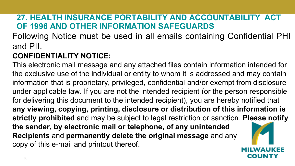#### **27. HEALTH INSURANCE PORTABILITY AND ACCOUNTABILITY ACT OF 1996 AND OTHER INFORMATION SAFEGUARDS**

Following Notice must be used in all emails containing Confidential PHI and PII.

#### **CONFIDENTIALITY NOTICE:**

This electronic mail message and any attached files contain information intended for the exclusive use of the individual or entity to whom it is addressed and may contain information that is proprietary, privileged, confidential and/or exempt from disclosure under applicable law. If you are not the intended recipient (or the person responsible for delivering this document to the intended recipient), you are hereby notified that **any viewing, copying, printing, disclosure or distribution of this information is strictly prohibited** and may be subject to legal restriction or sanction. **Please notify the sender, by electronic mail or telephone, of any unintended Recipients** and **permanently delete the original message** and any copy of this e-mail and printout thereof.

coun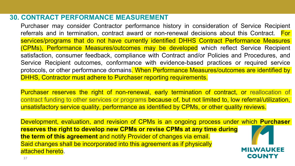#### **30. CONTRACT PERFORMANCE MEASUREMENT**

Purchaser may consider Contractor performance history in consideration of Service Recipient referrals and in termination, contract award or non-renewal decisions about this Contract. For services/programs that do not have currently identified DHHS Contract Performance Measures (CPMs), Performance Measures/outcomes may be developed which reflect Service Recipient satisfaction, consumer feedback, compliance with Contract and/or Policies and Procedures, and Service Recipient outcomes, conformance with evidence-based practices or required service protocols, or other performance domains. When Performance Measures/outcomes are identified by DHHS, Contractor must adhere to Purchaser reporting requirements.

Purchaser reserves the right of non-renewal, early termination of contract, or reallocation of contract funding to other services or programs because of, but not limited to, low referral/utilization, unsatisfactory service quality, performance as identified by CPMs, or other quality reviews.

Development, evaluation, and revision of CPMs is an ongoing process under which **Purchaser reserves the right to develop new CPMs or revise CPMs at any time during the term of this agreement** and notify Provider of changes via email. Said changes shall be incorporated into this agreement as if physically MILWAUKEE attached hereto. COUNT`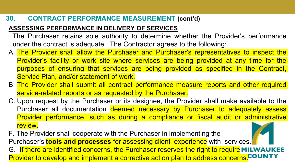### **30. CONTRACT PERFORMANCE MEASUREMENT (cont'd)**

#### **ASSESSING PERFORMANCE IN DELIVERY OF SERVICES**

The Purchaser retains sole authority to determine whether the Provider's performance under the contract is adequate. The Contractor agrees to the following:

- A. The Provider shall allow the Purchaser and Purchaser's representatives to inspect the Provider's facility or work site where services are being provided at any time for the purposes of ensuring that services are being provided as specified in the Contract, Service Plan, and/or statement of work.
- B. The Provider shall submit all contract performance measure reports and other required service-related reports or as requested by the Purchaser.
- C. Upon request by the Purchaser or its designee, the Provider shall make available to the Purchaser all documentation deemed necessary by Purchaser to adequately assess Provider performance, such as during a compliance or fiscal audit or administrative review.
- F. The Provider shall cooperate with the Purchaser in implementing the Purchaser's **tools and processes** for assessing client experience with services. G. If there are identified concerns, the Purchaser reserves the right to require MILWAUKEE Provider to develop and implement a corrective action plan to address concerns.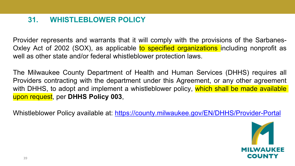### **31. WHISTLEBLOWER POLICY**

Provider represents and warrants that it will comply with the provisions of the Sarbanes-Oxley Act of 2002 (SOX), as applicable to specified organizations including nonprofit as well as other state and/or federal whistleblower protection laws.

The Milwaukee County Department of Health and Human Services (DHHS) requires all Providers contracting with the department under this Agreement, or any other agreement with DHHS, to adopt and implement a whistleblower policy, which shall be made available upon request, per **DHHS Policy 003**,

Whistleblower Policy available at: <https://county.milwaukee.gov/EN/DHHS/Provider-Portal>

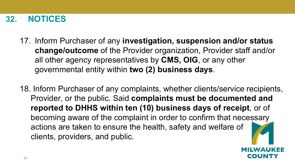### **32. NOTICES**

- 17. Inform Purchaser of any **investigation, suspension and/or status change/outcome** of the Provider organization, Provider staff and/or all other agency representatives by **CMS, OIG**, or any other governmental entity within **two (2) business days**.
- 18. Inform Purchaser of any complaints, whether clients/service recipients, Provider, or the public. Said **complaints must be documented and reported to DHHS within ten (10) business days of receipt**, or of becoming aware of the complaint in order to confirm that necessary actions are taken to ensure the health, safety and welfare of clients, providers, and public.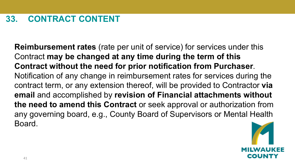**Reimbursement rates** (rate per unit of service) for services under this Contract **may be changed at any time during the term of this Contract without the need for prior notification from Purchaser**. Notification of any change in reimbursement rates for services during the contract term, or any extension thereof, will be provided to Contractor **via email** and accomplished by **revision of Financial attachments without the need to amend this Contract** or seek approval or authorization from any governing board, e.g., County Board of Supervisors or Mental Health Board.

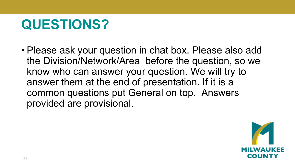# **QUESTIONS?**

• Please ask your question in chat box. Please also add the Division/Network/Area before the question, so we know who can answer your question. We will try to answer them at the end of presentation. If it is a common questions put General on top. Answers provided are provisional.

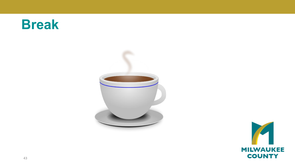# **Break**



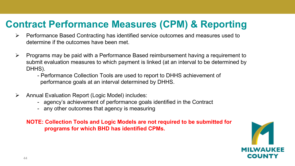### **Contract Performance Measures (CPM) & Reporting**

- $\triangleright$  Performance Based Contracting has identified service outcomes and measures used to determine if the outcomes have been met.
- $\triangleright$  Programs may be paid with a Performance Based reimbursement having a requirement to submit evaluation measures to which payment is linked (at an interval to be determined by DHHS).
	- Performance Collection Tools are used to report to DHHS achievement of performance goals at an interval determined by DHHS.
- Annual Evaluation Report (Logic Model) includes:
	- agency's achievement of performance goals identified in the Contract
	- any other outcomes that agency is measuring

**NOTE: Collection Tools and Logic Models are not required to be submitted for programs for which BHD has identified CPMs.** 

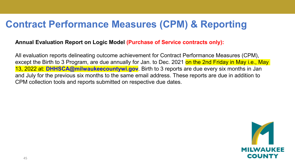### **Contract Performance Measures (CPM) & Reporting**

#### **Annual Evaluation Report on Logic Model (Purchase of Service contracts only):**

All evaluation reports delineating outcome achievement for Contract Performance Measures (CPM), except the Birth to 3 Program, are due annually for Jan. to Dec. 2021 on the 2nd Friday in May i.e., May 13, 2022 at: **DHHSCA@milwaukeecountywi.gov**. Birth to 3 reports are due every six months in Jan and July for the previous six months to the same email address. These reports are due in addition to CPM collection tools and reports submitted on respective due dates.

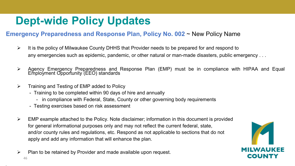## **Dept-wide Policy Updates**

#### **Emergency Preparedness and Response Plan, Policy No. 002** ~ New Policy Name

- $\triangleright$  It is the policy of Milwaukee County DHHS that Provider needs to be prepared for and respond to any emergencies such as epidemic, pandemic, or other natural or man-made disasters, public emergency . . .
- Agency Emergency Preparedness and Response Plan (EMP) must be in compliance with HIPAA and Equal Employment Opportunity (EEO) standards
- $\triangleright$  Training and Testing of EMP added to Policy
	- Training to be completed within 90 days of hire and annually
		- in compliance with Federal, State, County or other governing body requirements
	- Testing exercises based on risk assessment
- $\triangleright$  EMP example attached to the Policy. Note disclaimer; information in this document is provided for general informational purposes only and may not reflect the current federal, state, and/or county rules and regulations, etc. Respond as not applicable to sections that do not apply and add any information that will enhance the plan.
- $\triangleright$  Plan to be retained by Provider and made available upon request.



•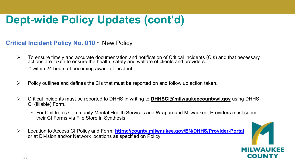## **Dept-wide Policy Updates (cont'd)**

#### **Critical Incident Policy No. 010** ~ New Policy

 To ensure timely and accurate documentation and notification of Critical Incidents (CIs) and that necessary actions are taken to ensure the health, safety and welfare of clients and providers.  $\dot{ }$ 

\* within 24 hours of becoming aware of incident

- $\triangleright$  Policy outlines and defines the CIs that must be reported on and follow up action taken.
- Critical Incidents must be reported to DHHS in writing to **[DHHSCI@milwaukeecountywi.gov](mailto:DHHSCI@milwaukeecountywi.gov)** using DHHS CI (fillable) Form.
	- o For Children's Community Mental Health Services and Wraparound Milwaukee, Providers must submit their CI Forms via File Store in Synthesis.
- Location to Access CI Policy and Form: **<https://county.milwaukee.gov/EN/DHHS/Provider-Portal>** or at Division and/or Network locations as specified on Policy.

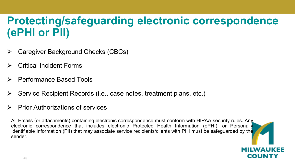## **Protecting/safeguarding electronic correspondence (ePHI or PII)**

- Caregiver Background Checks (CBCs)
- Critical Incident Forms
- Performance Based Tools
- $\triangleright$  Service Recipient Records (i.e., case notes, treatment plans, etc.)
- $\triangleright$  Prior Authorizations of services

All Emails (or attachments) containing electronic correspondence must conform with HIPAA security rules. Any electronic correspondence that includes electronic Protected Health Information (ePHI), or Personally Identifiable Information (PII) that may associate service recipients/clients with PHI must be safeguarded by the sender.

COUNTY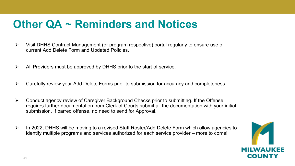## **Other QA ~ Reminders and Notices**

- $\triangleright$  Visit DHHS Contract Management (or program respective) portal regularly to ensure use of current Add Delete Form and Updated Policies.
- $\triangleright$  All Providers must be approved by DHHS prior to the start of service.
- $\triangleright$  Carefully review your Add Delete Forms prior to submission for accuracy and completeness.
- $\triangleright$  Conduct agency review of Caregiver Background Checks prior to submitting. If the Offense requires further documentation from Clerk of Courts submit all the documentation with your initial submission. If barred offense, no need to send for Approval.
- $\triangleright$  In 2022, DHHS will be moving to a revised Staff Roster/Add Delete Form which allow agencies to identify multiple programs and services authorized for each service provider – more to come!

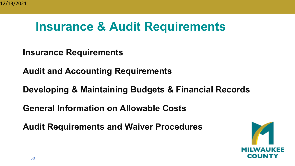## **Insurance & Audit Requirements**

**Insurance Requirements**

**Audit and Accounting Requirements**

**Developing & Maintaining Budgets & Financial Records**

**General Information on Allowable Costs**

**Audit Requirements and Waiver Procedures**

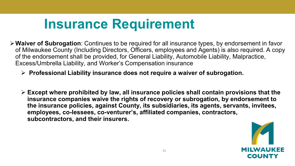# **Insurance Requirement**

- **Waiver of Subrogation**: Continues to be required for all insurance types, by endorsement in favor of Milwaukee County (Including Directors, Officers, employees and Agents) is also required. A copy of the endorsement shall be provided, for General Liability, Automobile Liability, Malpractice, Excess/Umbrella Liability, and Worker's Compensation insurance
	- **Professional Liability insurance does not require a waiver of subrogation.**
	- **Except where prohibited by law, all insurance policies shall contain provisions that the insurance companies waive the rights of recovery or subrogation, by endorsement to the insurance policies, against County, its subsidiaries, its agents, servants, invitees, employees, co-lessees, co-venturer's, affiliated companies, contractors, subcontractors, and their insurers.**

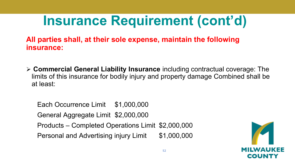# **Insurance Requirement (cont'd)**

**All parties shall, at their sole expense, maintain the following insurance:**

 **Commercial General Liability Insurance** including contractual coverage: The limits of this insurance for bodily injury and property damage Combined shall be at least:

Each Occurrence Limit \$1,000,000 General Aggregate Limit \$2,000,000 Products – Completed Operations Limit \$2,000,000 Personal and Advertising injury Limit \$1,000,000

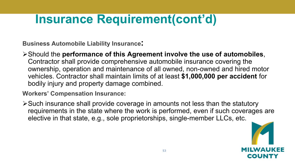# **Insurance Requirement(cont'd)**

**Business Automobile Liability Insurance:**

Should the **performance of this Agreement involve the use of automobiles**, Contractor shall provide comprehensive automobile insurance covering the ownership, operation and maintenance of all owned, non-owned and hired motor vehicles. Contractor shall maintain limits of at least **\$1,000,000 per accident** for bodily injury and property damage combined.

**Workers' Compensation Insurance:**

Such insurance shall provide coverage in amounts not less than the statutory requirements in the state where the work is performed, even if such coverages are elective in that state, e.g., sole proprietorships, single-member LLCs, etc.

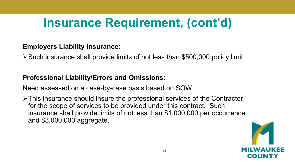# **Insurance Requirement, (cont'd)**

### **Employers Liability Insurance:**

Such insurance shall provide limits of not less than \$500,000 policy limit

### **Professional Liability/Errors and Omissions:**

Need assessed on a case-by-case basis based on SOW

This insurance should insure the professional services of the Contractor for the scope of services to be provided under this contract. Such insurance shall provide limits of not less than \$1,000,000 per occurrence and \$3,000,000 aggregate.

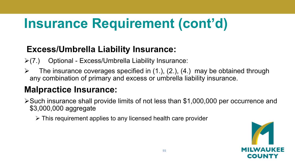# **Insurance Requirement (cont'd)**

### **Excess/Umbrella Liability Insurance:**

- $\triangleright$ (7.) Optional Excess/Umbrella Liability Insurance:
- $\triangleright$  The insurance coverages specified in (1.), (2.), (4.) may be obtained through any combination of primary and excess or umbrella liability insurance.

### **Malpractice Insurance:**

- Such insurance shall provide limits of not less than \$1,000,000 per occurrence and \$3,000,000 aggregate
	- $\triangleright$  This requirement applies to any licensed health care provider

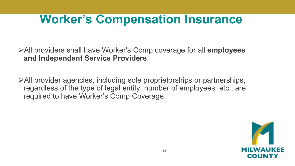## **Worker's Compensation Insurance**

All providers shall have Worker's Comp coverage for all **employees and Independent Service Providers**.

All provider agencies, including sole proprietorships or partnerships, regardless of the type of legal entity, number of employees, etc., are required to have Worker's Comp Coverage.

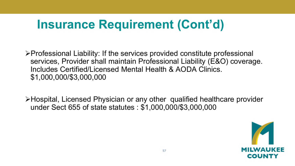# **Insurance Requirement (Cont'd)**

Professional Liability: If the services provided constitute professional services, Provider shall maintain Professional Liability (E&O) coverage. Includes Certified/Licensed Mental Health & AODA Clinics. \$1,000,000/\$3,000,000

Hospital, Licensed Physician or any other qualified healthcare provider under Sect 655 of state statutes : \$1,000,000/\$3,000,000

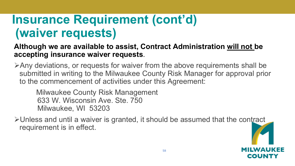## **Insurance Requirement (cont'd) (waiver requests)**

**Although we are available to assist, Contract Administration will not be accepting insurance waiver requests**.

Any deviations, or requests for waiver from the above requirements shall be submitted in writing to the Milwaukee County Risk Manager for approval prior to the commencement of activities under this Agreement:

Milwaukee County Risk Management 633 W. Wisconsin Ave. Ste. 750 Milwaukee, WI 53203

Unless and until a waiver is granted, it should be assumed that the contract requirement is in effect.

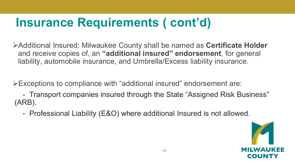# **Insurance Requirements ( cont'd)**

Additional Insured: Milwaukee County shall be named as **Certificate Holder**  and receive copies of, an **"additional insured" endorsement**, for general liability, automobile insurance, and Umbrella/Excess liability insurance.

Exceptions to compliance with "additional insured" endorsement are:

- Transport companies insured through the State "Assigned Risk Business" (ARB).

- Professional Liability (E&O) where additional Insured is not allowed.

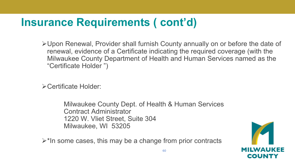## **Insurance Requirements ( cont'd)**

Upon Renewal, Provider shall furnish County annually on or before the date of renewal, evidence of a Certificate indicating the required coverage (with the Milwaukee County Department of Health and Human Services named as the "Certificate Holder ")

Certificate Holder:

Milwaukee County Dept. of Health & Human Services Contract Administrator 1220 W. Vliet Street, Suite 304 Milwaukee, WI 53205

 $\triangleright^*$ In some cases, this may be a change from prior contracts

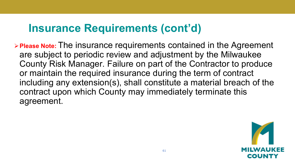### **Insurance Requirements (cont'd)**

**Please Note:** The insurance requirements contained in the Agreement are subject to periodic review and adjustment by the Milwaukee County Risk Manager. Failure on part of the Contractor to produce or maintain the required insurance during the term of contract including any extension(s), shall constitute a material breach of the contract upon which County may immediately terminate this agreement.

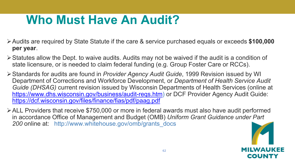# **Who Must Have An Audit?**

- Audits are required by State Statute if the care & service purchased equals or exceeds **\$100,000 per year**.
- $\triangleright$  Statutes allow the Dept. to waive audits. Audits may not be waived if the audit is a condition of state licensure, or is needed to claim federal funding (e.g. Group Foster Care or RCCs).
- Standards for audits are found in *Provider Agency Audit Guide*, 1999 Revision issued by WI Department of Corrections and Workforce Development, or *Department of Health Service Audit Guide (DHSAG)* current revision issued by Wisconsin Departments of Health Services (online at [https://www.dhs.wisconsin.gov/business/audit-reqs.htm\)](https://www.dhs.wisconsin.gov/business/audit-reqs.htm) or DCF Provider Agency Audit Guide: <https://dcf.wisconsin.gov/files/finance/fias/pdf/paag.pdf>
- ALL Providers that receive \$750,000 or more in federal awards must also have audit performed in accordance Office of Management and Budget (OMB) *Uniform Grant Guidance under Part 200* online at: http://www.whitehouse.gov/omb/grants\_docs

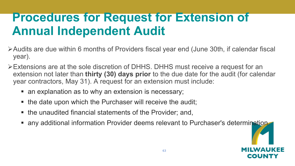## **Procedures for Request for Extension of Annual Independent Audit**

- Audits are due within 6 months of Providers fiscal year end (June 30th, if calendar fiscal year).
- Extensions are at the sole discretion of DHHS. DHHS must receive a request for an extension not later than **thirty (30) days prior** to the due date for the audit (for calendar year contractors, May 31). A request for an extension must include:
	- an explanation as to why an extension is necessary;
	- the date upon which the Purchaser will receive the audit;
	- the unaudited financial statements of the Provider; and,
	- any additional information Provider deems relevant to Purchaser's determination.

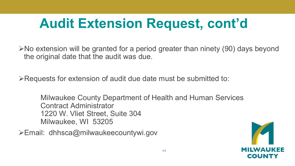# **Audit Extension Request, cont'd**

 $\triangleright$  No extension will be granted for a period greater than ninety (90) days beyond the original date that the audit was due.

Requests for extension of audit due date must be submitted to:

Milwaukee County Department of Health and Human Services Contract Administrator 1220 W. Vliet Street, Suite 304 Milwaukee, WI 53205

Email: dhhsca@milwaukeecountywi.gov

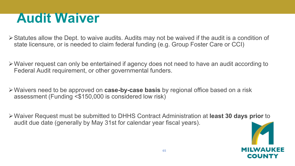# **Audit Waiver**

- $\triangleright$  Statutes allow the Dept. to waive audits. Audits may not be waived if the audit is a condition of state licensure, or is needed to claim federal funding (e.g. Group Foster Care or CCI)
- Waiver request can only be entertained if agency does not need to have an audit according to Federal Audit requirement, or other governmental funders.
- Waivers need to be approved on **case-by-case basis** by regional office based on a risk assessment (Funding <\$150,000 is considered low risk)
- Waiver Request must be submitted to DHHS Contract Administration at **least 30 days prior** to audit due date (generally by May 31st for calendar year fiscal years).

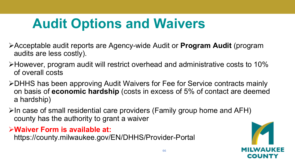# **Audit Options and Waivers**

- Acceptable audit reports are Agency-wide Audit or **Program Audit** (program audits are less costly).
- However, program audit will restrict overhead and administrative costs to 10% of overall costs
- DHHS has been approving Audit Waivers for Fee for Service contracts mainly on basis of **economic hardship** (costs in excess of 5% of contact are deemed a hardship)
- $\triangleright$ In case of small residential care providers (Family group home and AFH) county has the authority to grant a waiver

**Waiver Form is available at:**

https://county.milwaukee.gov/EN/DHHS/Provider-Portal

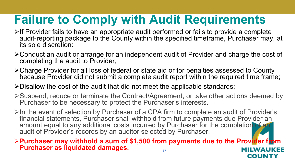## **Failure to Comply with Audit Requirements**

- $\triangleright$  If Provider fails to have an appropriate audit performed or fails to provide a complete audit-reporting package to the County within the specified timeframe, Purchaser may, at its sole discretion:
- Conduct an audit or arrange for an independent audit of Provider and charge the cost of completing the audit to Provider;
- Charge Provider for all loss of federal or state aid or for penalties assessed to County because Provider did not submit a complete audit report within the required time frame;
- $\triangleright$  Disallow the cost of the audit that did not meet the applicable standards;
- Suspend, reduce or terminate the Contract/Agreement, or take other actions deemed by Purchaser to be necessary to protect the Purchaser's interests.
- $\triangleright$ In the event of selection by Purchaser of a CPA firm to complete an audit of Provider's financial statements, Purchaser shall withhold from future payments due Provider an amount equal to any additional costs incurred by Purchaser for the completion of an audit of Provider's records by an auditor selected by Purchaser.

**Purchaser may withhold a sum of \$1,500 from payments due to the Provider from Purchaser as liquidated damages.** The same of MILWAUKEE

COUNTY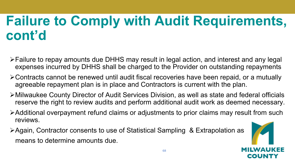# **Failure to Comply with Audit Requirements, cont'd**

- Failure to repay amounts due DHHS may result in legal action, and interest and any legal expenses incurred by DHHS shall be charged to the Provider on outstanding repayments
- Contracts cannot be renewed until audit fiscal recoveries have been repaid, or a mutually agreeable repayment plan is in place and Contractors is current with the plan.
- Milwaukee County Director of Audit Services Division, as well as state and federal officials reserve the right to review audits and perform additional audit work as deemed necessary.
- Additional overpayment refund claims or adjustments to prior claims may result from such reviews.
- Again, Contractor consents to use of Statistical Sampling & Extrapolation as means to determine amounts due.

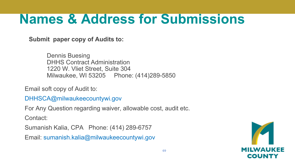# **Names & Address for Submissions**

**Submit paper copy of Audits to:**

Dennis Buesing DHHS Contract Administration 1220 W. Vliet Street, Suite 304 Milwaukee, WI 53205 Phone: (414)289-5850

Email soft copy of Audit to:

DHHSCA@milwaukeecountywi.gov

For Any Question regarding waiver, allowable cost, audit etc.

Contact:

Sumanish Kalia, CPA Phone: (414) 289-6757

Email: sumanish.kalia@milwaukeecountywi.gov

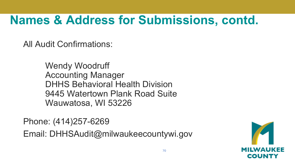# **Names & Address for Submissions, contd.**

All Audit Confirmations:

Wendy Woodruff Accounting Manager DHHS Behavioral Health Division 9445 Watertown Plank Road Suite Wauwatosa, WI 53226

Phone: (414)257-6269

Email: DHHSAudit@milwaukeecountywi.gov

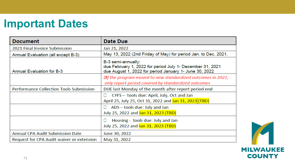## **Important Dates**

| <b>Document</b>                                | Date Due                                                                                                                                  |
|------------------------------------------------|-------------------------------------------------------------------------------------------------------------------------------------------|
| 2021 Final Invoice Submission                  | Jan 21, 2022                                                                                                                              |
| Annual Evaluation (all except B-3)             | May 13, 2022 (2nd Friday of May) for period Jan. to Dec. 2021.                                                                            |
| <b>Annual Evaluation for B-3</b>               | B-3 semi-annually:<br>due February 1, 2022 for period July 1- December 31, 2021<br>due August 1, 2022 for period January 1- June 30, 2022 |
|                                                | $\mathbb{Z}$ f the program moved to new standardized outcomes in 2021,<br>only report period covered by standardized outcomes             |
| <b>Performance Collection Tools Submission</b> | DUE last Monday of the month after report period end                                                                                      |
|                                                | CYFS - tools due: April, July, Oct and Jan<br>Ш<br>April 25, July 25, Oct 31, 2022 and Jan 31, 2023 (TBD)                                 |
|                                                | ADS - tools due: July and Jan<br>u<br>July 25, 2022 and Jan 31, 2023 (TBD)                                                                |
|                                                | Housing - tools due: July and Jan<br>⊔<br>July 25, 2022 and Jan 31, 2023 (TBD)                                                            |
| <b>Annual CPA Audit Submission Date</b>        | June 30, 2022                                                                                                                             |
| Request for CPA Audit waiver or extension      | May 31, 2022                                                                                                                              |

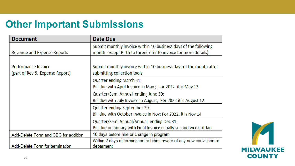### **Other Important Submissions**

| <b>Document</b>                      | <b>Date Due</b>                                                      |
|--------------------------------------|----------------------------------------------------------------------|
|                                      | Submit monthly invoice within 10 business days of the following      |
| <b>Revenue and Expense Reports</b>   | month except Birth to three(refer to invoice for more details)       |
|                                      |                                                                      |
| Performance Invoice                  | Submit monthly invoice within 10 business days of the month after    |
| (part of Rev & Expense Report)       | submitting collection tools                                          |
|                                      | <b>Quarter ending March 31:</b>                                      |
|                                      | Bill due with April Invoice in May; For 2022 it is May 13            |
|                                      | Quarter/Semi Annual ending June 30:                                  |
|                                      | Bill due with July Invoice in August; For 2022 it is August 12       |
|                                      | <b>Quarter ending September 30:</b>                                  |
|                                      | Bill due with October Invoice in Nov; For 2022, it is Nov 14         |
|                                      | Quarter/Semi Annual/Annual ending Dec 31:                            |
|                                      | Bill due in January with Final Invoice usually second week of Jan    |
| Add-Delete Form and CBC for addition | 10 days before hire or change in program                             |
|                                      | Within 2 days of termination or being aware of any new conviction or |
| Add-Delete Form for termination      | debarment                                                            |

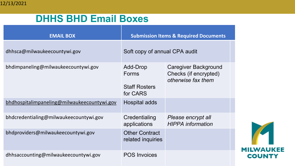### **DHHS BHD Email Boxes**

| <b>EMAIL BOX</b>                            | <b>Submission Items &amp; Required Documents</b>      |                                                                            |  |
|---------------------------------------------|-------------------------------------------------------|----------------------------------------------------------------------------|--|
| dhhsca@milwaukeecountywi.gov                | Soft copy of annual CPA audit                         |                                                                            |  |
| bhdimpaneling@milwaukeecountywi.gov         | Add-Drop<br>Forms<br><b>Staff Rosters</b><br>for CARS | <b>Caregiver Background</b><br>Checks (if encrypted)<br>otherwise fax them |  |
| bhdhospitalimpaneling@milwaukeecountywi.gov | Hospital adds                                         |                                                                            |  |
| bhdcredentialing@milwaukeecountywi.gov      | Credentialing<br>applications                         | Please encrypt all<br><b>HIPPA</b> information                             |  |
| bhdproviders@milwaukeecountywi.gov          | <b>Other Contract</b><br>related inquiries            |                                                                            |  |
| dhhsaccounting@milwaukeecountywi.gov        | <b>POS Invoices</b>                                   |                                                                            |  |

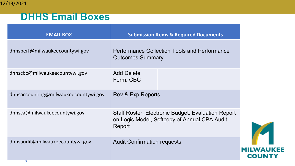#### **DHHS Email Boxes**

| <b>EMAIL BOX</b>                     | <b>Submission Items &amp; Required Documents</b>                                                                    |  |  |
|--------------------------------------|---------------------------------------------------------------------------------------------------------------------|--|--|
| dhhsperf@milwaukeecountywi.gov       | <b>Performance Collection Tools and Performance</b><br><b>Outcomes Summary</b>                                      |  |  |
| dhhscbc@milwaukeecountywi.gov        | <b>Add Delete</b><br>Form, CBC                                                                                      |  |  |
| dhhsaccounting@milwaukeecountywi.gov | Rev & Exp Reports                                                                                                   |  |  |
| dhhsca@milwaukeecountywi.gov         | <b>Staff Roster, Electronic Budget, Evaluation Report</b><br>on Logic Model, Softcopy of Annual CPA Audit<br>Report |  |  |
| dhhsaudit@milwaukeecountywi.gov      | <b>Audit Confirmation requests</b>                                                                                  |  |  |

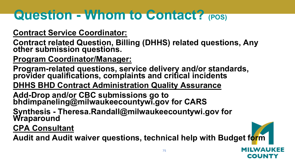# **Question - Whom to Contact? (POS)**

#### **Contract Service Coordinator:**

**Contract related Question, Billing (DHHS) related questions, Any other submission questions.**

**Program Coordinator/Manager:**

**Program-related questions, service delivery and/or standards, provider qualifications, complaints and critical incidents**

**DHHS BHD Contract Administration Quality Assurance**

**Add-Drop and/or CBC submissions go to bhdimpaneling@milwaukeecountywi.gov for CARS** 

**Synthesis - Theresa.Randall@milwaukeecountywi.gov for Wraparound**

**CPA Consultant** 

**Audit and Audit waiver questions, technical help with Budget form**

COUR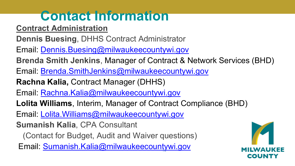# **Contact Information**

**Contract Administration**

- **Dennis Buesing**, DHHS Contract Administrator
- Email: [Dennis.Buesing@milwaukeecountywi.gov](mailto:Dennis.Buesing@milwaukeecountywi.gov)
- **Brenda Smith Jenkins**, Manager of Contract & Network Services (BHD)
- Email: [Brenda.SmithJenkins@milwaukeecountywi.gov](mailto:Brenda.SmithJenkins@milwaukeecountywi.gov)
- **Rachna Kalia,** Contract Manager (DHHS)
- Email: [Rachna.Kalia@milwaukeecountywi.gov](mailto:Rachna.Kalia@milwaukeecountywi.gov)
- **Lolita Williams**, Interim, Manager of Contract Compliance (BHD)
- Email: [Lolita.Williams@milwaukeecountywi.gov](mailto:Lolita.Williams@milwaukeecountywi.gov)
- **Sumanish Kalia**, CPA Consultant
	- (Contact for Budget, Audit and Waiver questions)
- Email: [Sumanish.Kalia@milwaukeecountywi.gov](mailto:Sumanish.Kalia@milwaukeecountywi.gov)

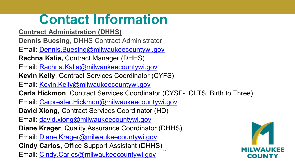## **Contact Information**

- **Contract Administration (DHHS)**
- **Dennis Buesing**, DHHS Contract Administrator
- Email: [Dennis.Buesing@milwaukeecountywi.gov](mailto:Dennis.Buesing@milwaukeecountywi.gov)
- **Rachna Kalia,** Contract Manager (DHHS)
- Email: [Rachna.Kalia@milwaukeecountywi.gov](mailto:Rachna.Kalia@milwaukeecountywi.gov)
- **Kevin Kelly**, Contract Services Coordinator (CYFS)
- Email: [Kevin.Kelly@milwaukeecountywi.gov](mailto:Kevin.Kelly@milwaukeecountywi.gov)
- **Carla Hickmon**, Contract Services Coordinator (CYSF- CLTS, Birth to Three)

77

- Email: [Carprester.Hickmon@milwaukeecountywi.gov](mailto:Carprester.Hickmon@milwaukeecountywi.gov)
- **David Xiong**, Contract Services Coordinator (HD)
- Email: [david.xiong@milwaukeecountywi.gov](mailto:david.xiong@milwaukeecountywi.gov)
- **Diane Krager**, Quality Assurance Coordinator (DHHS)
- Email: [Diane.Krager@milwaukeecountywi.gov](mailto:Diane.Krager@milwaukeecountywi.gov)
- **Cindy Carlos**, Office Support Assistant (DHHS)
- Email: [Cindy.Carlos@milwaukeecountywi.gov](mailto:Cindy.Carlos@milwaukeecountywi.gov)

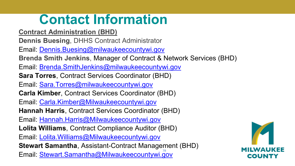### **Contact Information**

- **Contract Administration (BHD)**
- **Dennis Buesing**, DHHS Contract Administrator
- Email: [Dennis.Buesing@milwaukeecountywi.gov](mailto:Dennis.Buesing@milwaukeecountywi.gov)
- **Brenda Smith Jenkins**, Manager of Contract & Network Services (BHD)
- Email: [Brenda.SmithJenkins@milwaukeecountywi.gov](mailto:Brenda.SmithJenkins@milwaukeecountywi.gov)
- **Sara Torres**, Contract Services Coordinator (BHD)
- Email: [Sara.Torres@milwaukeecountywi.gov](mailto:Sara.Torres@milwaukeecountywi.gov)
- **Carla Kimber**, Contract Services Coordinator (BHD)
- Email: [Carla.Kimber@Milwaukeecountywi.gov](mailto:Carla.Kimber@Milwaukeecountywi.gov)
- **Hannah Harris**, Contract Services Coordinator (BHD)
- Email: [Hannah.Harris@Milwaukeecountywi.gov](mailto:Hannah.Harris@Milwaukeecountywi.gov)
- **Lolita Williams**, Contract Compliance Auditor (BHD)
- Email: [Lolita.Williams@Milwaukeecountywi.gov](mailto:Lolita.Williams@Milwaukeecountywi.gov)
- **Stewart Samantha**, Assistant-Contract Management (BHD)
- Email: **[Stewart.Samantha@Milwaukeecountywi.gov](mailto:Stewart.Samantha@Milwaukeecountywi.gov)**